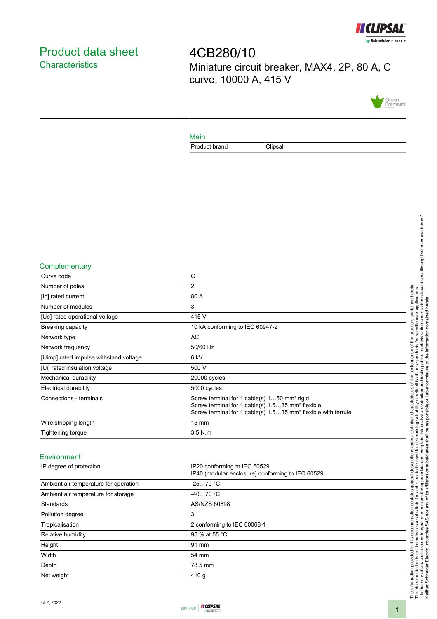

# <span id="page-0-0"></span>Product data sheet **Characteristics**

4CB280/10 Miniature circuit breaker, MAX4, 2P, 80 A, C curve, 10000 A, 415 V



### Main

Product brand Clipsal

#### **Complementary**

| Curve code                             | C                                                                                                                                                                                                    |
|----------------------------------------|------------------------------------------------------------------------------------------------------------------------------------------------------------------------------------------------------|
| Number of poles                        | $\overline{2}$                                                                                                                                                                                       |
| [In] rated current                     | 80 A                                                                                                                                                                                                 |
| Number of modules                      | 3                                                                                                                                                                                                    |
| [Ue] rated operational voltage         | 415 V                                                                                                                                                                                                |
| Breaking capacity                      | 10 kA conforming to IEC 60947-2                                                                                                                                                                      |
| Network type                           | <b>AC</b>                                                                                                                                                                                            |
| Network frequency                      | 50/60 Hz                                                                                                                                                                                             |
| [Uimp] rated impulse withstand voltage | 6 <sub>kV</sub>                                                                                                                                                                                      |
| [Ui] rated insulation voltage          | 500 V                                                                                                                                                                                                |
| Mechanical durability                  | 20000 cycles                                                                                                                                                                                         |
| Electrical durability                  | 5000 cycles                                                                                                                                                                                          |
| Connections - terminals                | Screw terminal for 1 cable(s) 150 mm <sup>2</sup> rigid<br>Screw terminal for 1 cable(s) 1.535 mm <sup>2</sup> flexible<br>Screw terminal for 1 cable(s) 1.535 mm <sup>2</sup> flexible with ferrule |
| Wire stripping length                  | $15 \text{ mm}$                                                                                                                                                                                      |
| <b>Tightening torque</b>               | $3.5$ N.m.                                                                                                                                                                                           |
| Environment                            |                                                                                                                                                                                                      |
| IP degree of protection                | IP20 conforming to IEC 60529<br>IP40 (modular enclosure) conforming to IEC 60529                                                                                                                     |
| Ambient air temperature for operation  | $-2570 °C$                                                                                                                                                                                           |

| Ambient air temperature for storage | $-4070$ $^{\circ}$ C        |  |
|-------------------------------------|-----------------------------|--|
| Standards                           | AS/NZS 60898                |  |
| Pollution degree                    | 3                           |  |
| Tropicalisation                     | 2 conforming to IEC 60068-1 |  |
| Relative humidity                   | 95 % at 55 °C               |  |
| Height                              | 91 mm                       |  |
| Width                               | 54 mm                       |  |
| Depth                               | 78.5 mm                     |  |
| Net weight                          | 410 <sub>g</sub>            |  |
|                                     |                             |  |